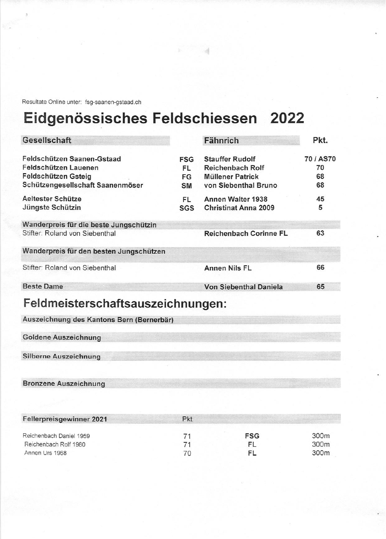Resultate Online unter: fsg-saanen-gstaad.ch

# Eidgenössisches Feldschiessen 2022

| Gesellschaft                            |            | <b>Fähnrich</b>               | Pkt.      |
|-----------------------------------------|------------|-------------------------------|-----------|
| Feldschützen Saanen-Gstaad              | <b>FSG</b> | <b>Stauffer Rudolf</b>        | 70 / AS70 |
| Feldschützen Lauenen                    | FL.        | <b>Reichenbach Rolf</b>       | 70        |
| Feldschützen Gsteig                     | FG         | <b>Müllener Patrick</b>       | 68        |
| Schützengesellschaft Saanenmöser        | <b>SM</b>  | von Siebenthal Bruno          | 68        |
| Aeltester Schütze                       | FL.        | Annen Walter 1938             | 45        |
| Jüngste Schützin                        | SGS        | <b>Christinat Anna 2009</b>   | 5         |
| Wanderpreis für die beste Jungschützin  |            |                               |           |
| Stifter: Roland von Siebenthal          |            | <b>Reichenbach Corinne FL</b> | 63        |
| Wanderpreis für den besten Jungschützen |            |                               |           |
| Stifter: Roland von Siebenthal          |            | <b>Annen Nils FL</b>          | 66        |
| <b>Beste Dame</b>                       |            | <b>Von Siebenthal Daniela</b> | 65        |

# Feldmeisterschaftsauszeichnungen:

| Auszeichnung des Kantons Bern (Bernerbär) |  |  |
|-------------------------------------------|--|--|
| <b>Goldene Auszeichnung</b>               |  |  |
| <b>Silberne Auszeichnung</b>              |  |  |
|                                           |  |  |

**Bronzene Auszeichnung** 

| Fellerpreisgewinner 2021 | Pkt |            |                  |
|--------------------------|-----|------------|------------------|
| Reichenbach Daniel 1959  |     | <b>FSG</b> | 300 <sub>m</sub> |
| Reichenbach Rolf 1980    |     | Fl         | 300m             |
| Annen Urs 1968           |     |            | 300 <sub>m</sub> |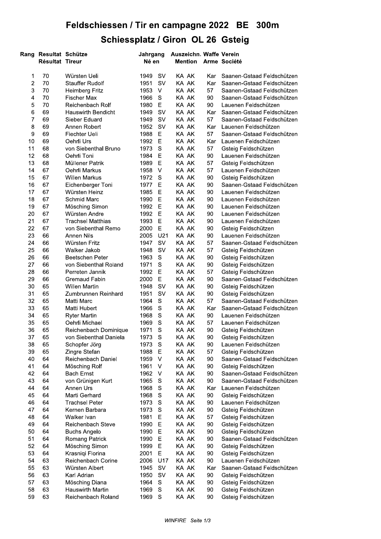## Feldschiessen / Tir en campagne 2022 - BE - 300m Schiessplatz / Giron OL 26 Gsteig

|          |                                                 | <b>Schiessplatz / Giron OL 26 Gsteig</b> |                   |             |                |          |                                                        |
|----------|-------------------------------------------------|------------------------------------------|-------------------|-------------|----------------|----------|--------------------------------------------------------|
|          | Rang Resultat Schütze<br><b>Résultat Tireur</b> |                                          | Jahrgang<br>Né en |             |                |          | Auszeichn. Waffe Verein<br><b>Mention Arme Société</b> |
| 1        | 70                                              | Würsten Ueli                             | 1949              | <b>SV</b>   | KA AK          | Kar      | Saanen-Gstaad Feldschützen                             |
| 2        | 70                                              | <b>Stauffer Rudolf</b>                   | 1951              | <b>SV</b>   | KA AK          | Kar      | Saanen-Gstaad Feldschützen                             |
| 3        | 70                                              | Heimberg Fritz                           | 1953              | $\vee$      | KA AK          | 57       | Saanen-Gstaad Feldschützen                             |
| 4        | 70                                              | <b>Fischer Max</b>                       | 1966              | $\mathsf S$ | KA AK          | 90       | Saanen-Gstaad Feldschützen                             |
| 5        | 70                                              | Reichenbach Rolf                         | 1980              | E           | KA AK          | 90       | Lauenen Feldschützen                                   |
| 6        | 69                                              | <b>Hauswirth Bendicht</b>                | 1949              | <b>SV</b>   | KA AK          | Kar      | Saanen-Gstaad Feldschützen                             |
| 7        | 69                                              | Sieber Eduard                            | 1949              | <b>SV</b>   | KA AK          | 57       | Saanen-Gstaad Feldschützen                             |
| 8        | 69                                              | Annen Robert                             | 1952              | <b>SV</b>   | KA AK          | Kar      | Lauenen Feldschützen                                   |
| 9        | 69                                              | Fiechter Ueli                            | 1988              | Е           | KA AK          | 57       | Saanen-Gstaad Feldschützen                             |
| 10       | 69                                              | Oehrli Urs                               | 1992              | E           | KA AK<br>KA AK | Kar      | Lauenen Feldschützen                                   |
| 11<br>12 | 68<br>68                                        | von Siebenthal Bruno<br>Oehrli Toni      | 1973<br>1984      | S<br>Е      | KA AK          | 57<br>90 | Gsteig Feldschützen<br>Lauenen Feldschützen            |
| 13       | 68                                              | Müllener Patrik                          | 1989              | E           | KA AK          | 57       | Gsteig Feldschützen                                    |
| 14       | 67                                              | Oehrli Markus                            | 1958              | $\vee$      | KA AK          | 57       | Lauenen Feldschützen                                   |
| 15       | 67                                              | <b>Willen Markus</b>                     | 1972              | S           | KA AK          | 90       | Gsteig Feldschützen                                    |
| 16       | 67                                              | Eichenberger Toni                        | 1977              | Е           | KA AK          | 90       | Saanen-Gstaad Feldschützen                             |
| 17       | 67                                              | Würsten Heinz                            | 1985              | Е           | KA AK          | 90       | Lauenen Feldschützen                                   |
| 18       | 67                                              | Schmid Marc                              | 1990              | Е           | KA AK          | 90       | Lauenen Feldschützen                                   |
| 19       | 67                                              | Mösching Simon                           | 1992              | $\mathsf E$ | KA AK          | 90       | Lauenen Feldschützen                                   |
| 20       | 67                                              | Würsten Andre                            | 1992              | Е           | KA AK          | 90       | Lauenen Feldschützen                                   |
| 21       | 67                                              | <b>Trachsel Matthias</b>                 | 1993              | Е           | KA AK          | 90       | Lauenen Feldschützen                                   |
| 22       | 67                                              | von Siebenthal Remo                      | 2000              | $\mathsf E$ | KA AK          | 90       | Gsteig Feldschützen                                    |
| 23       | 66                                              | <b>Annen Nils</b>                        | 2005              | U21         | KA AK          | 90       | Lauenen Feldschützen                                   |
| 24       | 66                                              | Würsten Fritz                            | 1947              | SV          | KA AK          | 57       | Saanen-Gstaad Feldschützen                             |
| 25       | 66                                              | Walker Jakob                             | 1948              | <b>SV</b>   | KA AK          | 57       | Gsteig Feldschützen                                    |
| 26       | 66                                              | Beetschen Peter                          | 1963              | S           | KA AK          | 90       | Gsteig Feldschützen                                    |
| 27       | 66                                              | von Siebenthal Roland                    | 1971              | S           | KA AK          | 90       | Gsteig Feldschützen                                    |
| 28       | 66                                              | Perreten Jannik                          | 1992              | Е           | KA AK          | 57       | Gsteig Feldschützen                                    |
| 29       | 66                                              | Gremaud Fabin                            | 2000              | Е           | KA AK          | 90       | Saanen-Gstaad Feldschützen                             |
| 30       | 65                                              | Willen Martin                            | 1948              | <b>SV</b>   | KA AK          | 90       | Gsteig Feldschützen                                    |
| 31       | 65                                              | Zumbrunnen Reinhard                      | 1951 SV           |             | KA AK          | 90       | Gsteig Feldschützen                                    |
| 32       | 65                                              | Matti Marc                               | 1964              | S           | KA AK          | 57       | Saanen-Gstaad Feldschützen                             |
| 33       | 65                                              | Matti Hubert                             | 1966              | S           | KA AK          | Kar      | Saanen-Gstaad Feldschützen                             |
| 34       | 65                                              | <b>Ryter Martin</b>                      | 1968              | S           | KA AK          | 90       | Lauenen Feldschützen                                   |
| 35       | 65                                              | Oehrli Michael                           | 1969              | S           | KA AK          | 57       | Lauenen Feldschützen                                   |
| 36       | 65                                              | Reichenbach Dominique                    | 1971              | $\mathbb S$ | KA AK          | 90       | Gsteig Feldschützen                                    |
| 37       | 65                                              | von Siebenthal Daniela                   | 1973              | S           | KA AK          | 90       | Gsteig Feldschützen                                    |
| 38       | 65                                              | Schopfer Jörg                            | 1973              | $\mathbb S$ | KA AK          | 90       | Lauenen Feldschützen                                   |
| 39<br>40 | 65<br>64                                        | Zingre Stefan                            | 1988<br>1959      | Е<br>$\vee$ | KA AK<br>KA AK | 57       | Gsteig Feldschützen<br>Saanen-Gstaad Feldschützen      |
| 41       | 64                                              | Reichenbach Daniel                       | 1961              | V           | KA AK          | 90       |                                                        |
| 42       | 64                                              | Mösching Rolf<br><b>Bach Ernst</b>       | 1962              | V           | KA AK          | 90<br>90 | Gsteig Feldschützen<br>Saanen-Gstaad Feldschützen      |
| 43       | 64                                              | von Grünigen Kurt                        | 1965              | S           | KA AK          | 90       | Saanen-Gstaad Feldschützen                             |
| 44       | 64                                              | Annen Urs                                | 1968              | S           | KA AK          | Kar      | Lauenen Feldschützen                                   |
| 45       | 64                                              | Marti Gerhard                            | 1968              | S           | KA AK          | 90       | Gsteig Feldschützen                                    |
| 46       | 64                                              | <b>Trachsel Peter</b>                    | 1973              | S           | KA AK          | 90       | Lauenen Feldschützen                                   |
| 47       | 64                                              | Kernen Barbara                           | 1973              | $\mathbb S$ | KA AK          | 90       | Gsteig Feldschützen                                    |
| 48       | 64                                              | Walker Ivan                              | 1981              | Е           | KA AK          | 57       | Gsteig Feldschützen                                    |
| 49       | 64                                              | Reichenbach Steve                        | 1990              | Ε           | KA AK          | 90       | Gsteig Feldschützen                                    |
| 50       | 64                                              | <b>Buchs Angelo</b>                      | 1990              | Ε           | KA AK          | 90       | Gsteig Feldschützen                                    |
| 51       | 64                                              | Romang Patrick                           | 1990              | E           | KA AK          | 90       | Saanen-Gstaad Feldschützen                             |
| 52       | 64                                              | Mösching Simon                           | 1999              | Е           | KA AK          | 90       | Gsteig Feldschützen                                    |
| 53       | 64                                              | Krasniqi Florina                         | 2001              | Е           | KA AK          | 90       | Gsteig Feldschützen                                    |
| 54       | 63                                              | Reichenbach Corine                       | 2006              | U17         | KA AK          | 90       | Lauenen Feldschützen                                   |
| 55       | 63                                              | Würsten Albert                           | 1945              | SV          | KA AK          | Kar      | Saanen-Gstaad Feldschützen                             |
| 56       | 63                                              | Karl Adrian                              | 1950              | SV          | KA AK          | 90       | Gsteig Feldschützen                                    |
| 57       | 63                                              | Mösching Diana                           | 1964              | S           | KA AK          | 90       | Gsteig Feldschützen                                    |
|          | 63                                              | Hauswirth Martin                         | 1969              | $\mathbb S$ | KA AK          | 90       | Gsteig Feldschützen                                    |
| 58       |                                                 |                                          |                   |             |                |          |                                                        |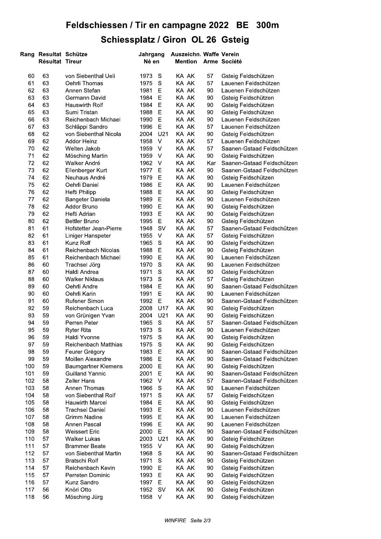## Feldschiessen / Tir en campagne 2022 - BE - 300m Schiessplatz / Giron OL 26 Gsteig

|          |                                            | <b>Schiessplatz / Giron OL 26 Gsteig</b> |                   |                     |                |                |                 |                                                          |
|----------|--------------------------------------------|------------------------------------------|-------------------|---------------------|----------------|----------------|-----------------|----------------------------------------------------------|
| Rang     | Resultat Schütze<br><b>Résultat Tireur</b> |                                          | Jahrgang<br>Né en |                     |                | <b>Mention</b> |                 | Auszeichn. Waffe Verein<br>Arme Société                  |
| 60       | 63                                         | von Siebenthal Ueli                      | 1973              | S                   | KA AK          |                | 57              | Gsteig Feldschützen                                      |
| 61       | 63                                         | Oehrli Thomas                            | 1975              | S                   | KA AK          |                | 57              | Lauenen Feldschützen                                     |
| 62       | 63                                         | Annen Stefan                             | 1981              | Е                   | KA AK          |                | 90              | Lauenen Feldschützen                                     |
| 63       | 63                                         | Germann David                            | 1984              | Ε                   | KA AK          |                | 90              | Gsteig Feldschützen                                      |
| 64       | 63                                         | Hauswirth Rolf                           | 1984              | E                   | KA AK          |                | 90              | Gsteig Feldschützen                                      |
| 65       | 63                                         | Sumi Tristan                             | 1988              | Е                   | KA AK          |                | 90              | Gsteig Feldschützen                                      |
| 66       | 63                                         | Reichenbach Michael                      | 1990              | Е                   | KA AK          |                | 90              | Lauenen Feldschützen                                     |
| 67       | 63                                         | Schläppi Sandro                          | 1996              | Е                   | KA AK          |                | 57              | Lauenen Feldschützen                                     |
| 68       | 62                                         | von Siebenthal Nicola                    | 2004              | U21                 | KA AK          |                | 90              | Gsteig Feldschützen                                      |
| 69       | 62                                         | <b>Addor Heinz</b>                       | 1958              | $\vee$              | KA AK          |                | 57              | Lauenen Feldschützen                                     |
| 70       | 62                                         | Welten Jakob                             | 1959              | V                   | KA AK          |                | 57              | Saanen-Gstaad Feldschützen                               |
| 71       | 62                                         | Mösching Martin                          | 1959              | $\vee$              | KA AK<br>KA AK |                | 90              | Gsteig Feldschützen                                      |
| 72<br>73 | 62<br>62                                   | Walker André                             | 1962<br>1977      | $\vee$              | KA AK          |                | Kar<br>90       | Saanen-Gstaad Feldschützen<br>Saanen-Gstaad Feldschützen |
|          |                                            | Ellenberger Kurt                         |                   | E                   |                |                |                 |                                                          |
| 74       | 62                                         | Neuhaus André                            | 1979              | Е                   | KA AK          |                | 90              | Gsteig Feldschützen                                      |
| 75<br>76 | 62<br>62                                   | Oehrli Daniel                            | 1986              | Е                   | KA AK          |                | 90              | Lauenen Feldschützen                                     |
| 77       |                                            | Hefti Philipp                            | 1988              | Е                   | KA AK          |                | 90              | Gsteig Feldschützen                                      |
| 78       | 62<br>62                                   | Bangeter Daniela<br>Addor Bruno          | 1989<br>1990      | Е<br>Е              | KA AK<br>KA AK |                | 90<br>90        | Lauenen Feldschützen                                     |
| 79       | 62                                         | Hefti Adrian                             | 1993              | $\mathsf E$         | KA AK          |                |                 | Gsteig Feldschützen                                      |
| 80       | 62                                         |                                          |                   | Ε                   | KA AK          |                | 90              | Gsteig Feldschützen                                      |
| 81       |                                            | <b>Bettler Bruno</b>                     | 1995              |                     |                |                | 90              | Gsteig Feldschützen                                      |
| 82       | 61<br>61                                   | Hofstetter Jean-Pierre                   | 1948<br>1955      | <b>SV</b><br>$\vee$ | KA AK<br>KA AK |                | 57<br>57        | Saanen-Gstaad Feldschützen                               |
| 83       | 61                                         | Liniger Hanspeter<br>Kunz Rolf           | 1965              | S                   | KA AK          |                | 90              | Gsteig Feldschützen<br>Gsteig Feldschützen               |
| 84       | 61                                         | Reichenbach Nicolas                      | 1988              | Е                   | KA AK          |                | 90              | Gsteig Feldschützen                                      |
| 85       | 61                                         | Reichenbach Michael                      | 1990              | Е                   | KA AK          |                | 90              | Lauenen Feldschützen                                     |
| 86       | 60                                         | Trachsel Jörg                            | 1970              | S                   | KA AK          |                | 90              | Lauenen Feldschützen                                     |
| 87       | 60                                         | Haldi Andrea                             | 1971              | S                   | KA AK          |                | 90              | Gsteig Feldschützen                                      |
| 88       | 60                                         | <b>Walker Niklaus</b>                    | 1973              | ${\mathbb S}$       | KA AK          |                | 57              | Gsteig Feldschützen                                      |
| 89       | 60                                         | Oehrli Andre                             | 1984              | $\mathsf E$         | KA AK          |                | 90              | Saanen-Gstaad Feldschützen                               |
| 90       | 60                                         | Oehrli Karin                             | 1991              | $\mathsf E$         | KA AK          |                | 90 <sub>o</sub> | Lauenen Feldschützen                                     |
| 91       | 60                                         | Rufener Simon                            | 1992 E            |                     | KA AK          |                | 90              | Saanen-Gstaad Feldschützen                               |
| 92       | 59                                         | Reichenbach Luca                         | 2008              | U17                 | KA AK          |                | 90              | Gsteig Feldschützen                                      |
| 93       | 59                                         | von Grünigen Yvan                        | 2004              | U <sub>21</sub>     | KA AK          |                | 90              | Gsteig Feldschützen                                      |
| 94       | 59                                         | Perren Peter                             | 1965              | S                   | KA AK          |                | 57              | Saanen-Gstaad Feldschützen                               |
| 95       | 59                                         | <b>Ryter Rita</b>                        | 1973              | S                   | KA AK          |                | 90              | Lauenen Feldschützen                                     |
| 96       | 59                                         | Haldi Yvonne                             | 1975              | S                   | KA AK          |                | 90              | Gsteig Feldschützen                                      |
| 97       | 59                                         | Reichenbach Matthias                     | 1975              | S                   | KA AK          |                | 90              | Gsteig Feldschützen                                      |
| 98       | 59                                         | Feurer Grégory                           | 1983              | Е                   | KA AK          |                | 90              | Saanen-Gstaad Feldschützen                               |
| 99       | 59                                         | Moillen Alexandre                        | 1986              | Е                   | KA AK          |                | 90              | Saanen-Gstaad Feldschützen                               |
| 100      | 59                                         | Baumgartner Klemens                      | 2000              | Е                   | KA AK          |                | 90              | Gsteig Feldschützen                                      |
| 101      | 59                                         | <b>Guilland Yannic</b>                   | 2001              | Ε                   | KA AK          |                | 90              | Saanen-Gstaad Feldschützen                               |
| 102      | 58                                         | <b>Zeller Hans</b>                       | 1962              | $\vee$              | KA AK          |                | 57              | Saanen-Gstaad Feldschützen                               |
| 103      | 58                                         | Annen Thomas                             | 1966              | S                   | KA AK          |                | 90              | Lauenen Feldschützen                                     |
| 104      | 58                                         | von Siebenthal Rolf                      | 1971              | S                   | KA AK          |                | 57              | Gsteig Feldschützen                                      |
| 105      | 58                                         | <b>Hauwirth Marcel</b>                   | 1984              | E                   | KA AK          |                | 90              | Gsteig Feldschützen                                      |
| 106      | 58                                         | <b>Trachsel Daniel</b>                   | 1993              | $\mathsf E$         | KA AK          |                | 90              | Lauenen Feldschützen                                     |
| 107      | 58                                         | Grimm Nadine                             | 1995              | Е                   | KA AK          |                | 90              | Lauenen Feldschützen                                     |
| 108      | 58                                         | Annen Pascal                             | 1996              | Ε                   | KA AK          |                | 90              | Lauenen Feldschützen                                     |
| 109      | 58                                         | <b>Weissert Eric</b>                     | 2000              | Е                   | KA AK          |                | 90              | Saanen-Gstaad Feldschützen                               |
| 110      | 57                                         | <b>Walker Lukas</b>                      | 2003              | U <sub>21</sub>     | KA AK          |                | 90              | Gsteig Feldschützen                                      |
| 111      | 57                                         | <b>Brammer Beate</b>                     | 1955              | $\vee$              | KA AK          |                | 90              | Gsteig Feldschützen                                      |
| 112      | 57                                         | von Siebenthal Martin                    | 1968              | S                   | KA AK          |                | 90              | Saanen-Gstaad Feldschützen                               |
| 113      | 57                                         | Bratschi Rolf                            | 1971              | S                   | KA AK          |                | 90              | Gsteig Feldschützen                                      |
| 114      | 57                                         | Reichenbach Kevin                        | 1990              | Е                   | KA AK          |                | 90              | Gsteig Feldschützen                                      |
| 115      | 57                                         | Perreten Dominic                         | 1993              | $\mathsf E$         | KA AK          |                | 90              | Gsteig Feldschützen                                      |
| 116      | 57                                         | Kunz Sandro                              | 1997              | Е                   | KA AK          |                | 90              | Gsteig Feldschützen                                      |
| 117      | 56                                         | Knöri Otto                               | 1952              | SV                  | KA AK          |                | 90              | Gsteig Feldschützen                                      |
|          |                                            |                                          |                   |                     |                |                |                 |                                                          |